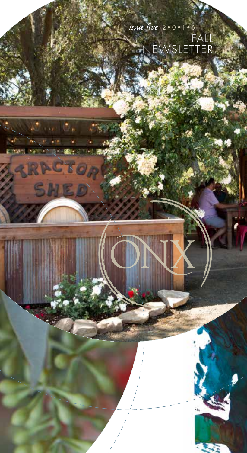

÷,

**Section**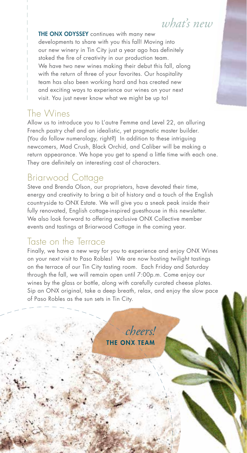## *what's new*

THE ONX ODYSSEY continues with many new developments to share with you this fall! Moving into our new winery in Tin City just a year ago has definitely stoked the fire of creativity in our production team. We have two new wines making their debut this fall, along with the return of three of your favorites. Our hospitality team has also been working hard and has created new and exciting ways to experience our wines on your next visit. You just never know what we might be up to!

#### The Wines

Allow us to introduce you to L'autre Femme and Level 22, an alluring French pastry chef and an idealistic, yet pragmatic master builder. (You do follow numerology, right?) In addition to these intriguing newcomers, Mad Crush, Black Orchid, and Caliber will be making a return appearance. We hope you get to spend a little time with each one. They are definitely an interesting cast of characters.

#### Briarwood Cottage

Steve and Brenda Olson, our proprietors, have devoted their time, energy and creativity to bring a bit of history and a touch of the English countryside to ONX Estate. We will give you a sneak peak inside their fully renovated, English cottage-inspired guesthouse in this newsletter. We also look forward to offering exclusive ONX Collective member events and tastings at Briarwood Cottage in the coming year.

#### Taste on the Terrace

Finally, we have a new way for you to experience and enjoy ONX Wines on your next visit to Paso Robles! We are now hosting twilight tastings on the terrace of our Tin City tasting room. Each Friday and Saturday through the fall, we will remain open until 7:00p.m. Come enjoy our wines by the glass or bottle, along with carefully curated cheese plates. Sip an ONX original, take a deep breath, relax, and enjoy the slow pace of Paso Robles as the sun sets in Tin City.

> **IF ONX TFAM** *cheers!*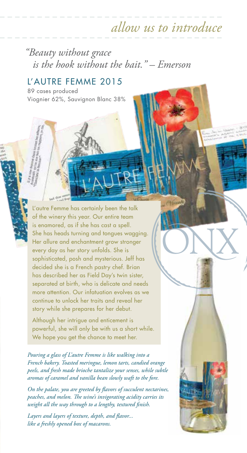# *allow us to introduce*

*"Beauty without grace is the hook without the bait." – Emerson*

#### L'AUTRE FEMME 2015

89 cases produced Viognier 62%, Sauvignon Blanc 38%

L'autre Femme has certainly been the talk of the winery this year. Our entire team is enamored, as if she has cast a spell. She has heads turning and tongues wagging. Her allure and enchantment grow stronger every day as her story unfolds. She is sophisticated, posh and mysterious. Jeff has decided she is a French pastry chef. Brian has described her as Field Day's twin sister, separated at birth, who is delicate and needs more attention. Our infatuation evolves as we continue to unlock her traits and reveal her story while she prepares for her debut.

Although her intrigue and enticement is powerful, she will only be with us a short while. We hope you get the chance to meet her.

*Pouring a glass of L'autre Femme is like walking into a French bakery. Toasted meringue, lemon tarts, candied orange peels, and fresh made brioche tantalize your senses, while subtle aromas of caramel and vanilla bean slowly waft to the fore.* 

*On the palate, you are greeted by flavors of succulent nectarines, peaches, and melon. The wine's invigorating acidity carries its weight all the way through to a lengthy, textured finish.*

*Layers and layers of texture, depth, and flavor... like a freshly opened box of macarons.*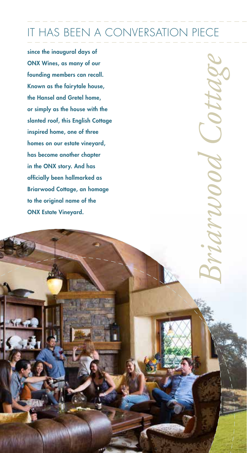# IT HAS BEEN A CONVERSATION PIECE

since the inaugural days of ONX Wines, as many of our founding members can recall. Known as the fairytale house, the Hansel and Gretel home, or simply as the house with the slanted roof, this English Cottage inspired home, one of three homes on our estate vineyard, has become another chapter in the ONX story. And has officially been hallmarked as Briarwood Cottage, an homage to the original name of the ONX Estate Vineyard.

*Briarwood Cottage* riarwood Cottag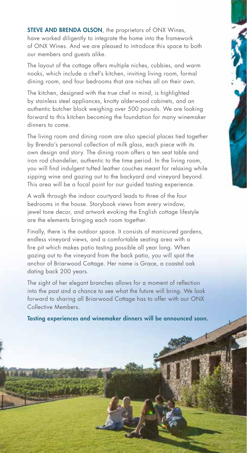**STEVE AND BRENDA OLSON**, the proprietors of ONX Wines, have worked diligently to integrate the home into the framework of ONX Wines. And we are pleased to introduce this space to both our members and guests alike.

The layout of the cottage offers multiple niches, cubbies, and warm nooks, which include a chef's kitchen, inviting living room, formal dining room, and four bedrooms that are niches all on their own.

The kitchen, designed with the true chef in mind, is highlighted by stainless steel appliances, knotty alderwood cabinets, and an authentic butcher block weighing over 500 pounds. We are looking forward to this kitchen becoming the foundation for many winemaker dinners to come.

The living room and dining room are also special places tied together by Brenda's personal collection of milk glass, each piece with its own design and story. The dining room offers a ten seat table and iron rod chandelier, authentic to the time period. In the living room, you will find indulgent tufted leather couches meant for relaxing while sipping wine and gazing out to the backyard and vineyard beyond. This area will be a focal point for our guided tasting experience.

A walk through the indoor courtyard leads to three of the four bedrooms in the house. Storybook views from every window, jewel tone decor, and artwork evoking the English cottage lifestyle are the elements bringing each room together.

Finally, there is the outdoor space. It consists of manicured gardens, endless vineyard views, and a comfortable seating area with a fire pit which makes patio tasting possible all year long. When gazing out to the vineyard from the back patio, you will spot the anchor of Briarwood Cottage. Her name is Grace, a coastal oak dating back 200 years.

The sight of her elegant branches allows for a moment of reflection into the past and a chance to see what the future will bring. We look forward to sharing all Briarwood Cottage has to offer with our ONX Collective Members.

Tasting experiences and winemaker dinners will be announced soon.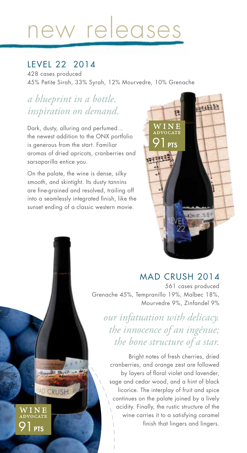# new releases

#### LEVEL 22 2014

428 cases produced 45% Petite Sirah, 33% Syrah, 12% Mourvedre, 10% Grenache

### *a blueprint in a bottle. inspiration on demand.*

Dark, dusty, alluring and perfumed... the newest addition to the ONX portfolio is generous from the start. Familiar aromas of dried apricots, cranberries and sarsaparilla entice you.

On the palate, the wine is dense, silky smooth, and skintight. Its dusty tannins are fine-grained and resolved, trailing off into a seamlessly integrated finish, like the sunset ending of a classic western movie.

**PTS** 

WINE TO CATE

取合

**AD CRUSH** 



#### MAD CRUSH 2014

561 cases produced Grenache 45%, Tempranillo 19%, Malbec 18%, Mourvedre 9%, Zinfandel 9%

*our infatuation with delicacy. the innocence of an ingénue; the bone structure of a star.*

Bright notes of fresh cherries, dried cranberries, and orange zest are followed by layers of floral violet and lavender, sage and cedar wood, and a hint of black licorice. The interplay of fruit and spice continues on the palate joined by a lively acidity. Finally, the rustic structure of the wine carries it to a satisfying caramel finish that lingers and lingers.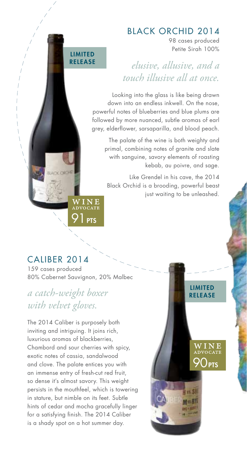#### BLACK ORCHID 2014

98 cases produced Petite Sirah 100%

> LIMITED **RELEASE**

> > $\overline{Q()_{\text{PTS}}}$

WIN<mark>E</mark><br>advocate

## *elusive, allusive, and a touch illusive all at once.*

Looking into the glass is like being drawn down into an endless inkwell. On the nose, powerful notes of blueberries and blue plums are followed by more nuanced, subtle aromas of earl grey, elderflower, sarsaparilla, and blood peach.

The palate of the wine is both weighty and primal, combining notes of granite and slate with sanguine, savory elements of roasting kebab, au poivre, and sage.

Like Grendel in his cave, the 2014 Black Orchid is a brooding, powerful beast just waiting to be unleashed.

#### CALIBER 2014

159 cases produced 80% Cabernet Sauvignon, 20% Malbec

**PTS** 

W I N <mark>E</mark><br>ndvocate

LIMITED RELEASE

#### *a catch-weight boxer with velvet gloves.*

The 2014 Caliber is purposely both inviting and intriguing. It joins rich, luxurious aromas of blackberries, Chambord and sour cherries with spicy, exotic notes of cassia, sandalwood and clove. The palate entices you with an immense entry of fresh-cut red fruit, so dense it's almost savory. This weight persists in the mouthfeel, which is towering in stature, but nimble on its feet. Subtle hints of cedar and mocha gracefully linger for a satisfying finish. The 2014 Caliber is a shady spot on a hot summer day.